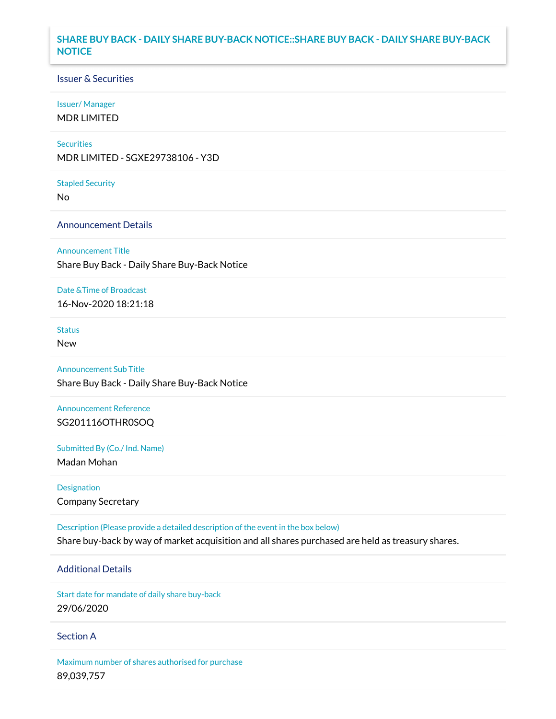## **SHARE BUY BACK - DAILY SHARE BUY-BACK NOTICE::SHARE BUY BACK - DAILY SHARE BUY-BACK NOTICE**

#### Issuer & Securities

#### Issuer/ Manager

MDR LIMITED

#### **Securities**

MDR LIMITED - SGXE29738106 - Y3D

#### Stapled Security

No

### Announcement Details

#### Announcement Title

Share Buy Back - Daily Share Buy-Back Notice

#### Date &Time of Broadcast

16-Nov-2020 18:21:18

# Status

New

## Announcement Sub Title

Share Buy Back - Daily Share Buy-Back Notice

# Announcement Reference SG201116OTHR0SOQ

Submitted By (Co./ Ind. Name)

Madan Mohan

# Designation Company Secretary

Description (Please provide a detailed description of the event in the box below) Share buy-back by way of market acquisition and all shares purchased are held as treasury shares.

# Additional Details

Start date for mandate of daily share buy-back 29/06/2020

#### Section A

Maximum number of shares authorised for purchase 89,039,757